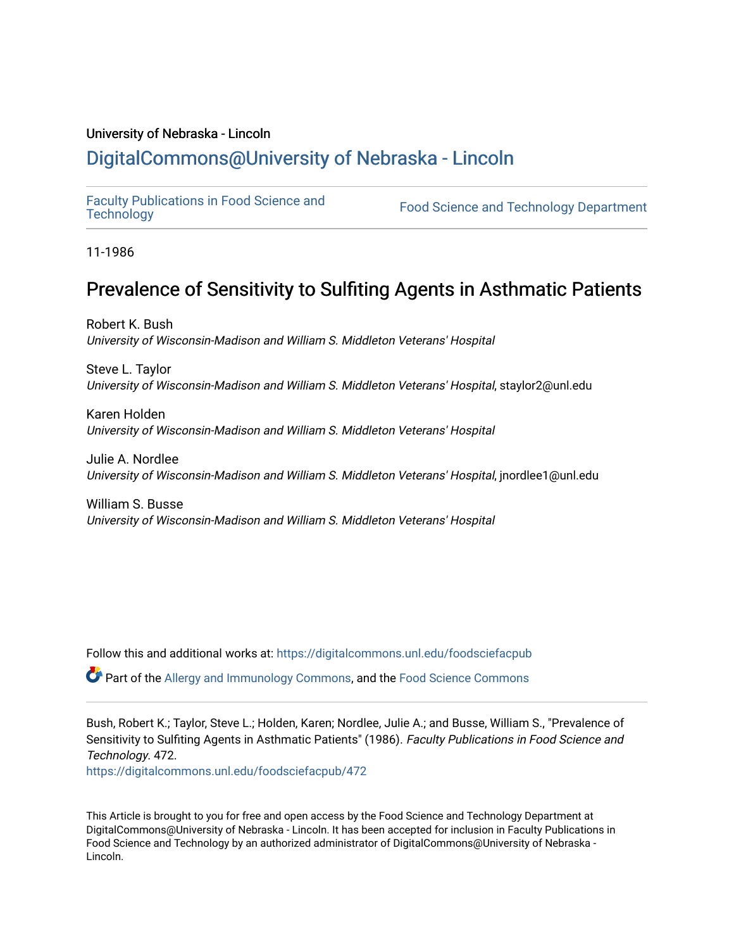# University of Nebraska - Lincoln [DigitalCommons@University of Nebraska - Lincoln](https://digitalcommons.unl.edu/)

[Faculty Publications in Food Science and](https://digitalcommons.unl.edu/foodsciefacpub)

Food Science and [Technology](https://digitalcommons.unl.edu/foodsciefacpub) Department

11-1986

# Prevalence of Sensitivity to Sulfiting Agents in Asthmatic Patients

Robert K. Bush University of Wisconsin-Madison and William S. Middleton Veterans' Hospital

Steve L. Taylor University of Wisconsin-Madison and William S. Middleton Veterans' Hospital, staylor2@unl.edu

Karen Holden University of Wisconsin-Madison and William S. Middleton Veterans' Hospital

Julie A. Nordlee University of Wisconsin-Madison and William S. Middleton Veterans' Hospital, jnordlee1@unl.edu

William S. Busse University of Wisconsin-Madison and William S. Middleton Veterans' Hospital

Follow this and additional works at: [https://digitalcommons.unl.edu/foodsciefacpub](https://digitalcommons.unl.edu/foodsciefacpub?utm_source=digitalcommons.unl.edu%2Ffoodsciefacpub%2F472&utm_medium=PDF&utm_campaign=PDFCoverPages) 

Part of the [Allergy and Immunology Commons](http://network.bepress.com/hgg/discipline/681?utm_source=digitalcommons.unl.edu%2Ffoodsciefacpub%2F472&utm_medium=PDF&utm_campaign=PDFCoverPages), and the [Food Science Commons](http://network.bepress.com/hgg/discipline/84?utm_source=digitalcommons.unl.edu%2Ffoodsciefacpub%2F472&utm_medium=PDF&utm_campaign=PDFCoverPages) 

Bush, Robert K.; Taylor, Steve L.; Holden, Karen; Nordlee, Julie A.; and Busse, William S., "Prevalence of Sensitivity to Sulfiting Agents in Asthmatic Patients" (1986). Faculty Publications in Food Science and Technology. 472.

[https://digitalcommons.unl.edu/foodsciefacpub/472](https://digitalcommons.unl.edu/foodsciefacpub/472?utm_source=digitalcommons.unl.edu%2Ffoodsciefacpub%2F472&utm_medium=PDF&utm_campaign=PDFCoverPages)

This Article is brought to you for free and open access by the Food Science and Technology Department at DigitalCommons@University of Nebraska - Lincoln. It has been accepted for inclusion in Faculty Publications in Food Science and Technology by an authorized administrator of DigitalCommons@University of Nebraska - Lincoln.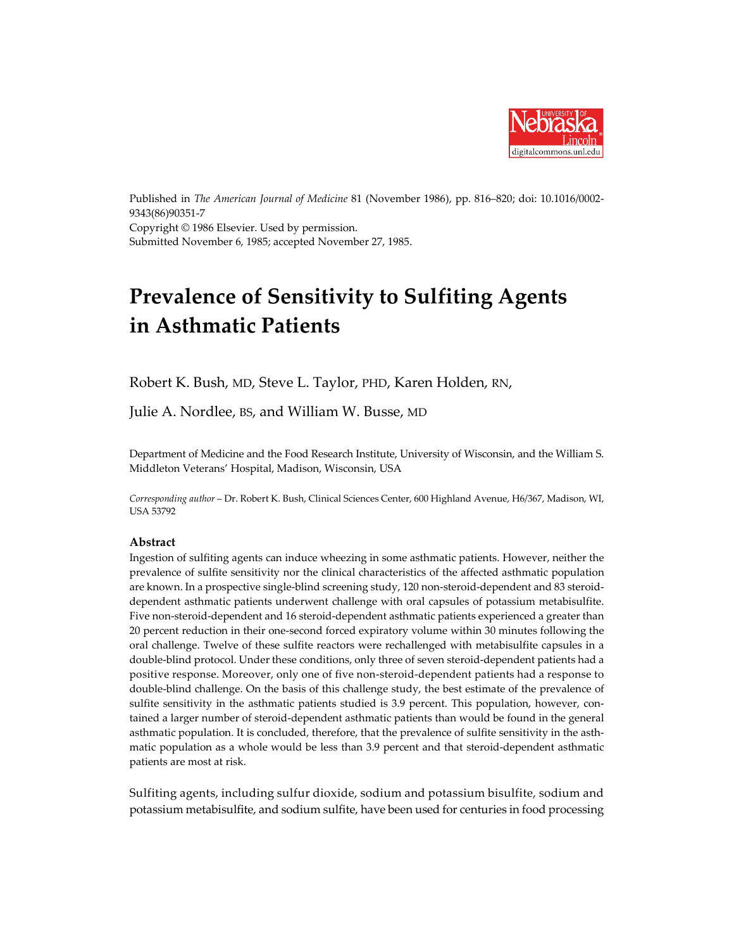

Published in *The American Journal of Medicine* 81 (November 1986), pp. 816–820; doi: 10.1016/0002- 9343(86)90351-7 Copyright © 1986 Elsevier. Used by permission. Submitted November 6, 1985; accepted November 27, 1985.

# **Prevalence of Sensitivity to Sulfiting Agents in Asthmatic Patients**

Robert K. Bush, MD, Steve L. Taylor, PHD, Karen Holden, RN,

Julie A. Nordlee, BS, and William W. Busse, MD

Department of Medicine and the Food Research Institute, University of Wisconsin, and the William S. Middleton Veterans' Hospital, Madison, Wisconsin, USA

*Corresponding author* – Dr. Robert K. Bush, Clinical Sciences Center, 600 Highland Avenue, H6/367, Madison, WI, USA 53792

## **Abstract**

Ingestion of sulfiting agents can induce wheezing in some asthmatic patients. However, neither the prevalence of sulfite sensitivity nor the clinical characteristics of the affected asthmatic population are known. In a prospective single-blind screening study, 120 non-steroid-dependent and 83 steroiddependent asthmatic patients underwent challenge with oral capsules of potassium metabisulfite. Five non-steroid-dependent and 16 steroid-dependent asthmatic patients experienced a greater than 20 percent reduction in their one-second forced expiratory volume within 30 minutes following the oral challenge. Twelve of these sulfite reactors were rechallenged with metabisulfite capsules in a double-blind protocol. Under these conditions, only three of seven steroid-dependent patients had a positive response. Moreover, only one of five non-steroid-dependent patients had a response to double-blind challenge. On the basis of this challenge study, the best estimate of the prevalence of sulfite sensitivity in the asthmatic patients studied is 3.9 percent. This population, however, contained a larger number of steroid-dependent asthmatic patients than would be found in the general asthmatic population. It is concluded, therefore, that the prevalence of sulfite sensitivity in the asthmatic population as a whole would be less than 3.9 percent and that steroid-dependent asthmatic patients are most at risk.

Sulfiting agents, including sulfur dioxide, sodium and potassium bisulfite, sodium and potassium metabisulfite, and sodium sulfite, have been used for centuries in food processing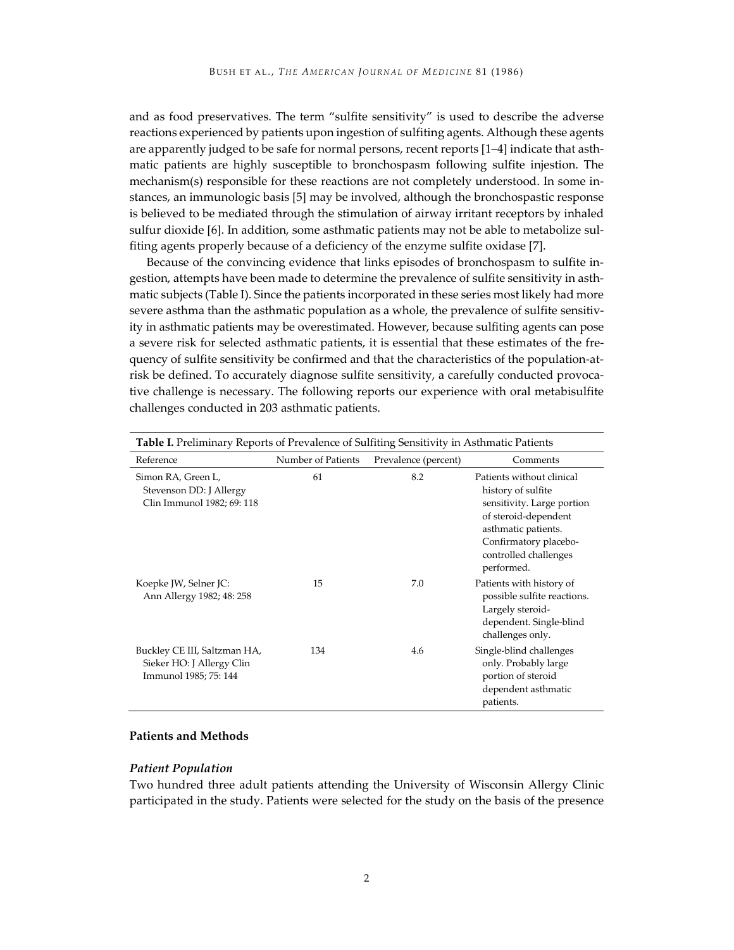and as food preservatives. The term "sulfite sensitivity" is used to describe the adverse reactions experienced by patients upon ingestion of sulfiting agents. Although these agents are apparently judged to be safe for normal persons, recent reports [1–4] indicate that asthmatic patients are highly susceptible to bronchospasm following sulfite injestion. The mechanism(s) responsible for these reactions are not completely understood. In some instances, an immunologic basis [5] may be involved, although the bronchospastic response is believed to be mediated through the stimulation of airway irritant receptors by inhaled sulfur dioxide [6]. In addition, some asthmatic patients may not be able to metabolize sulfiting agents properly because of a deficiency of the enzyme sulfite oxidase [7].

Because of the convincing evidence that links episodes of bronchospasm to sulfite ingestion, attempts have been made to determine the prevalence of sulfite sensitivity in asthmatic subjects (Table I). Since the patients incorporated in these series most likely had more severe asthma than the asthmatic population as a whole, the prevalence of sulfite sensitivity in asthmatic patients may be overestimated. However, because sulfiting agents can pose a severe risk for selected asthmatic patients, it is essential that these estimates of the frequency of sulfite sensitivity be confirmed and that the characteristics of the population-atrisk be defined. To accurately diagnose sulfite sensitivity, a carefully conducted provocative challenge is necessary. The following reports our experience with oral metabisulfite challenges conducted in 203 asthmatic patients.

| <b>Table I.</b> Preliminary Reports of Prevalence of Sulfiting Sensitivity in Asthmatic Patients |                    |                      |                                                                                                                                                                                              |  |  |  |
|--------------------------------------------------------------------------------------------------|--------------------|----------------------|----------------------------------------------------------------------------------------------------------------------------------------------------------------------------------------------|--|--|--|
| Reference                                                                                        | Number of Patients | Prevalence (percent) | Comments                                                                                                                                                                                     |  |  |  |
| Simon RA, Green L,<br>Stevenson DD: J Allergy<br>Clin Immunol 1982; 69: 118                      | 61                 | 8.2                  | Patients without clinical<br>history of sulfite<br>sensitivity. Large portion<br>of steroid-dependent<br>asthmatic patients.<br>Confirmatory placebo-<br>controlled challenges<br>performed. |  |  |  |
| Koepke JW, Selner JC:<br>Ann Allergy 1982; 48: 258                                               | 15                 | 7.0                  | Patients with history of<br>possible sulfite reactions.<br>Largely steroid-<br>dependent. Single-blind<br>challenges only.                                                                   |  |  |  |
| Buckley CE III, Saltzman HA,<br>Sieker HO: J Allergy Clin<br>Immunol 1985; 75: 144               | 134                | 4.6                  | Single-blind challenges<br>only. Probably large<br>portion of steroid<br>dependent asthmatic<br>patients.                                                                                    |  |  |  |

#### **Patients and Methods**

#### *Patient Population*

Two hundred three adult patients attending the University of Wisconsin Allergy Clinic participated in the study. Patients were selected for the study on the basis of the presence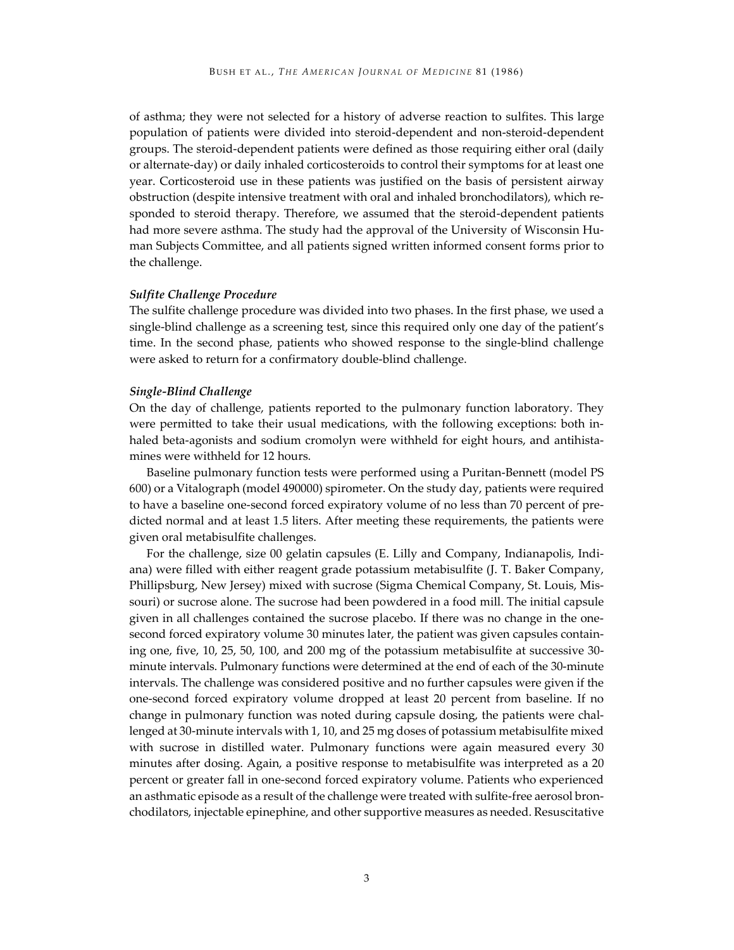of asthma; they were not selected for a history of adverse reaction to sulfites. This large population of patients were divided into steroid-dependent and non-steroid-dependent groups. The steroid-dependent patients were defined as those requiring either oral (daily or alternate-day) or daily inhaled corticosteroids to control their symptoms for at least one year. Corticosteroid use in these patients was justified on the basis of persistent airway obstruction (despite intensive treatment with oral and inhaled bronchodilators), which responded to steroid therapy. Therefore, we assumed that the steroid-dependent patients had more severe asthma. The study had the approval of the University of Wisconsin Human Subjects Committee, and all patients signed written informed consent forms prior to the challenge.

#### *Sulfite Challenge Procedure*

The sulfite challenge procedure was divided into two phases. In the first phase, we used a single-blind challenge as a screening test, since this required only one day of the patient's time. In the second phase, patients who showed response to the single-blind challenge were asked to return for a confirmatory double-blind challenge.

#### *Single-Blind Challenge*

On the day of challenge, patients reported to the pulmonary function laboratory. They were permitted to take their usual medications, with the following exceptions: both inhaled beta-agonists and sodium cromolyn were withheld for eight hours, and antihistamines were withheld for 12 hours.

Baseline pulmonary function tests were performed using a Puritan-Bennett (model PS 600) or a Vitalograph (model 490000) spirometer. On the study day, patients were required to have a baseline one-second forced expiratory volume of no less than 70 percent of predicted normal and at least 1.5 liters. After meeting these requirements, the patients were given oral metabisulfite challenges.

For the challenge, size 00 gelatin capsules (E. Lilly and Company, Indianapolis, Indiana) were filled with either reagent grade potassium metabisulfite (J. T. Baker Company, Phillipsburg, New Jersey) mixed with sucrose (Sigma Chemical Company, St. Louis, Missouri) or sucrose alone. The sucrose had been powdered in a food mill. The initial capsule given in all challenges contained the sucrose placebo. If there was no change in the onesecond forced expiratory volume 30 minutes later, the patient was given capsules containing one, five, 10, 25, 50, 100, and 200 mg of the potassium metabisulfite at successive 30 minute intervals. Pulmonary functions were determined at the end of each of the 30-minute intervals. The challenge was considered positive and no further capsules were given if the one-second forced expiratory volume dropped at least 20 percent from baseline. If no change in pulmonary function was noted during capsule dosing, the patients were challenged at 30-minute intervals with 1, 10, and 25 mg doses of potassium metabisulfite mixed with sucrose in distilled water. Pulmonary functions were again measured every 30 minutes after dosing. Again, a positive response to metabisulfite was interpreted as a 20 percent or greater fall in one-second forced expiratory volume. Patients who experienced an asthmatic episode as a result of the challenge were treated with sulfite-free aerosol bronchodilators, injectable epinephine, and other supportive measures as needed. Resuscitative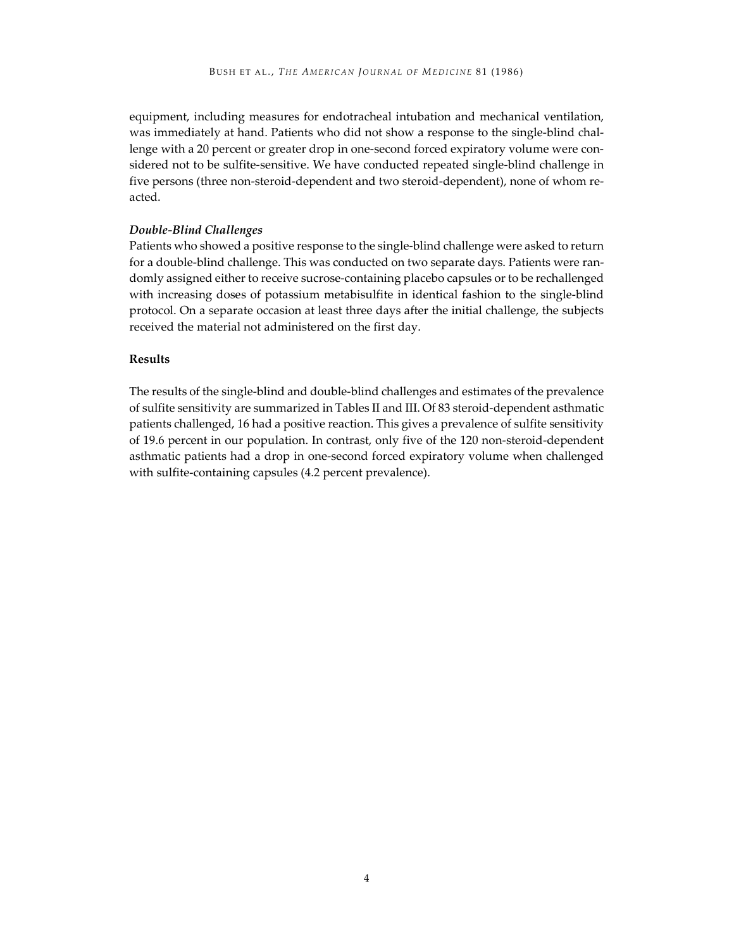equipment, including measures for endotracheal intubation and mechanical ventilation, was immediately at hand. Patients who did not show a response to the single-blind challenge with a 20 percent or greater drop in one-second forced expiratory volume were considered not to be sulfite-sensitive. We have conducted repeated single-blind challenge in five persons (three non-steroid-dependent and two steroid-dependent), none of whom reacted.

#### *Double-Blind Challenges*

Patients who showed a positive response to the single-blind challenge were asked to return for a double-blind challenge. This was conducted on two separate days. Patients were randomly assigned either to receive sucrose-containing placebo capsules or to be rechallenged with increasing doses of potassium metabisulfite in identical fashion to the single-blind protocol. On a separate occasion at least three days after the initial challenge, the subjects received the material not administered on the first day.

## **Results**

The results of the single-blind and double-blind challenges and estimates of the prevalence of sulfite sensitivity are summarized in Tables II and III. Of 83 steroid-dependent asthmatic patients challenged, 16 had a positive reaction. This gives a prevalence of sulfite sensitivity of 19.6 percent in our population. In contrast, only five of the 120 non-steroid-dependent asthmatic patients had a drop in one-second forced expiratory volume when challenged with sulfite-containing capsules (4.2 percent prevalence).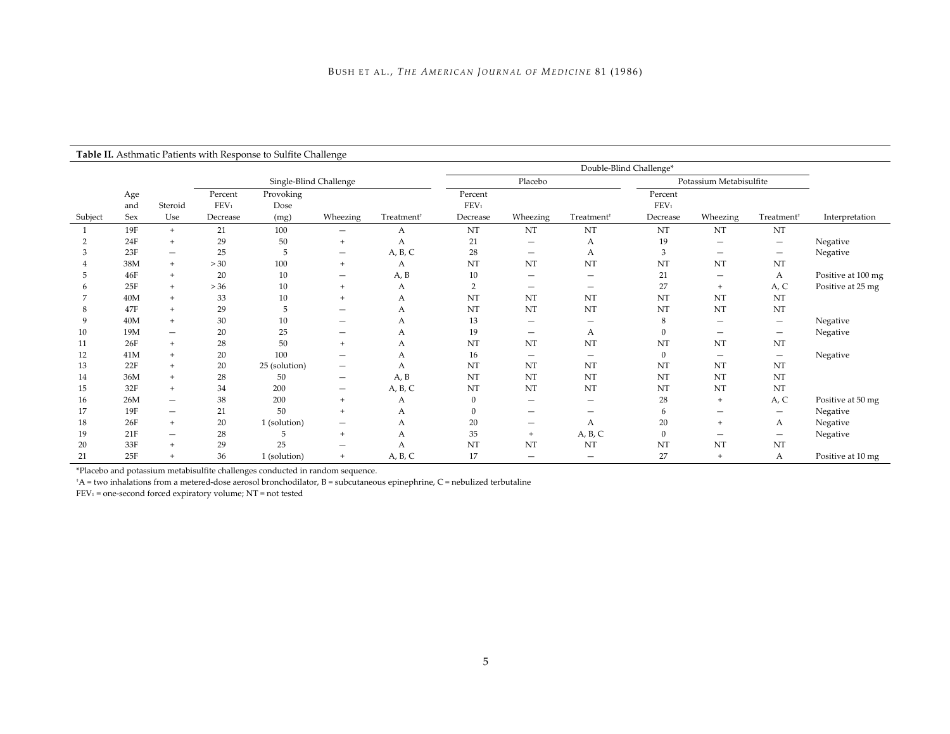## **Table II.** Asthmatic Patients with Response to Sulfite Challenge

|         |                   |                          |                                         |                           |                                 |                        | Double-Blind Challenge*                 |                                 |                          |                                         |                          |                                 |                    |
|---------|-------------------|--------------------------|-----------------------------------------|---------------------------|---------------------------------|------------------------|-----------------------------------------|---------------------------------|--------------------------|-----------------------------------------|--------------------------|---------------------------------|--------------------|
|         |                   |                          | Single-Blind Challenge                  |                           |                                 | Placebo                |                                         | Potassium Metabisulfite         |                          |                                         |                          |                                 |                    |
| Subject | Age<br>and<br>Sex | Steroid<br>Use           | Percent<br>FEV <sub>1</sub><br>Decrease | Provoking<br>Dose<br>(mg) | Wheezing                        | Treatment <sup>+</sup> | Percent<br>FEV <sub>1</sub><br>Decrease | Wheezing                        | Treatment <sup>+</sup>   | Percent<br>FEV <sub>1</sub><br>Decrease | Wheezing                 | Treatment <sup>+</sup>          | Interpretation     |
|         | 19F               | $+$                      | 21                                      | 100                       | $\overline{\phantom{m}}$        | А                      | NT                                      | NT                              | NT                       | NT                                      | NT                       | NT                              |                    |
|         | 24F               | $\ddot{}$                | 29                                      | 50                        | $+$                             | А                      | 21                                      | $\hspace{0.1mm}-\hspace{0.1mm}$ | А                        | 19                                      |                          | $\qquad \qquad -$               | Negative           |
|         | 23F               | $\overline{\phantom{0}}$ | 25                                      | 5                         | $\qquad \qquad \blacksquare$    | A, B, C                | 28                                      | $\overline{\phantom{m}}$        | А                        | 3                                       | $\qquad \qquad$          | $\qquad \qquad -$               | Negative           |
|         | 38M               | $+$                      | >30                                     | 100                       | $^{+}$                          | А                      | NT                                      | NT                              | NT                       | NT                                      | NT                       | NT                              |                    |
|         | 46F               | $^{+}$                   | 20                                      | 10                        | $\overline{\phantom{a}}$        | A, B                   | 10                                      | $\qquad \qquad$                 | $\qquad \qquad$          | 21                                      | $\overline{\phantom{m}}$ | А                               | Positive at 100 mg |
|         | 25F               | $+$                      | $>36$                                   | 10                        | $^{+}$                          | А                      | $\overline{2}$                          | $\overline{\phantom{m}}$        | $\qquad \qquad$          | 27                                      | $+$                      | A, C                            | Positive at 25 mg  |
|         | 40M               | $\ddot{}$                | 33                                      | 10                        | $+$                             | А                      | <b>NT</b>                               | NT                              | NT                       | NT                                      | NT                       | NT                              |                    |
|         | 47F               | $\ddot{}$                | 29                                      | 5                         | $\hspace{0.1mm}-\hspace{0.1mm}$ | А                      | NT                                      | NT                              | NT                       | NT                                      | NT                       | NT                              |                    |
| 9       | 40M               | $+$                      | 30                                      | 10                        |                                 | А                      | 13                                      | $\qquad \qquad \longleftarrow$  | $\overline{\phantom{m}}$ | 8                                       | $\overline{\phantom{m}}$ | $\hspace{0.1mm}-\hspace{0.1mm}$ | Negative           |
| 10      | 19M               | $\qquad \qquad -$        | 20                                      | 25                        |                                 | А                      | 19                                      | $\overline{\phantom{m}}$        | А                        | $\mathbf{0}$                            | $\overline{\phantom{m}}$ | $\qquad \qquad -$               | Negative           |
| 11      | 26F               | $+$                      | 28                                      | 50                        | $+$                             | А                      | NT                                      | NT                              | NT                       | NT                                      | NT                       | NT                              |                    |
| 12      | 41M               | $+$                      | 20                                      | 100                       |                                 | А                      | 16                                      | $\qquad \qquad \longleftarrow$  | $\overline{\phantom{m}}$ | $\overline{0}$                          | $\overline{\phantom{m}}$ | $\qquad \qquad -$               | Negative           |
| 13      | 22F               | $\ddot{}$                | 20                                      | 25 (solution)             | $\qquad \qquad \longleftarrow$  | А                      | NT                                      | NT                              | NT                       | NT                                      | NT                       | NT                              |                    |
| 14      | 36M               | $\ddot{}$                | 28                                      | 50                        | $\overline{\phantom{m}}$        | A, B                   | NT                                      | NT                              | NT                       | NT                                      | NT                       | NT                              |                    |
| 15      | 32F               | $\ddot{}$                | 34                                      | 200                       | $\overline{\phantom{m}}$        | A, B, C                | NT                                      | NT                              | NT                       | NT                                      | NT                       | NT                              |                    |
| 16      | 26M               | $\qquad \qquad$          | 38                                      | 200                       | $+$                             | А                      | $\overline{0}$                          | $\qquad \qquad$                 | $\overline{\phantom{0}}$ | 28                                      | $^{+}$                   | A, C                            | Positive at 50 mg  |
| 17      | 19F               | $\qquad \qquad$          | 21                                      | 50                        | $+$                             | А                      | $\Omega$                                | $\overline{\phantom{0}}$        |                          | 6                                       | $\overline{\phantom{0}}$ | $\qquad \qquad$                 | Negative           |
| 18      | 26F               | $\ddot{}$                | 20                                      | 1 (solution)              | $\hspace{0.1mm}-\hspace{0.1mm}$ | А                      | 20                                      | $\qquad \qquad \longleftarrow$  | А                        | 20                                      | $\ddot{}$                | А                               | Negative           |
| 19      | 21F               |                          | 28                                      | 5                         | $+$                             | А                      | 35                                      | $+$                             | A, B, C                  | $\boldsymbol{0}$                        |                          | $\qquad \qquad -$               | Negative           |
| 20      | 33F               | $\ddot{}$                | 29                                      | 25                        |                                 | А                      | NT                                      | NT                              | NT                       | NT                                      | NT                       | NT                              |                    |
| 21      | 25F               | $+$                      | 36                                      | 1 (solution)              | $+$                             | A, B, C                | 17                                      | $\overline{\phantom{0}}$        |                          | 27                                      | $\ddot{}$                | А                               | Positive at 10 mg  |

\*Placebo and potassium metabisulfite challenges conducted in random sequence.

† A = two inhalations from a metered-dose aerosol bronchodilator, B = subcutaneous epinephrine, C = nebulized terbutaline

FEV1 = one-second forced expiratory volume; NT = not tested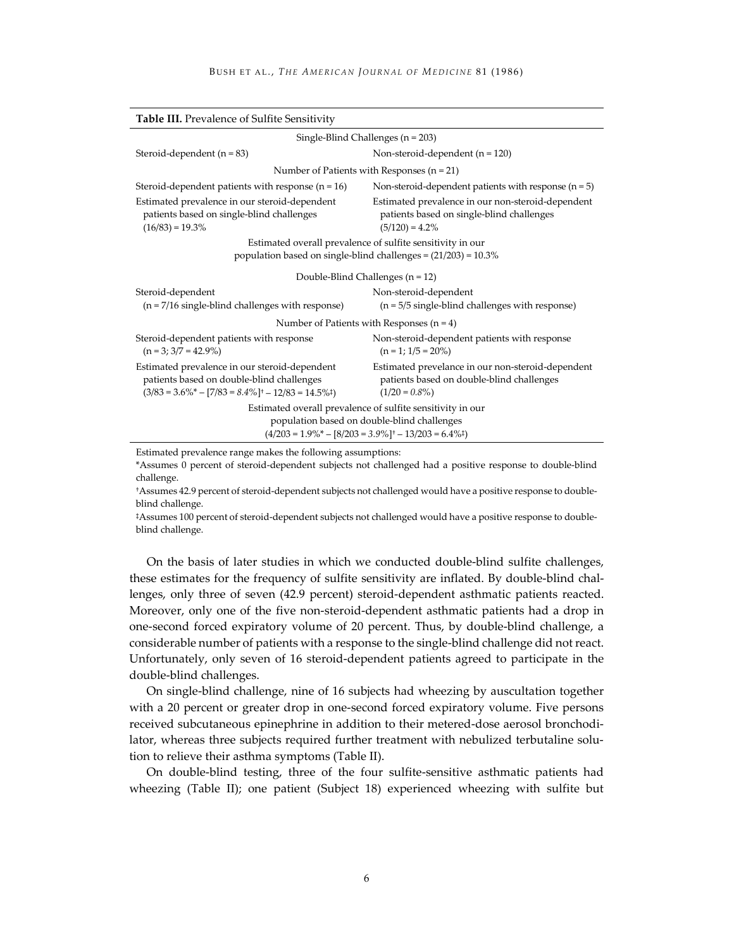| <b>Table III.</b> Prevalence of Sulfite Sensitivity                                                                                                                   |                                                                                                                     |  |  |  |
|-----------------------------------------------------------------------------------------------------------------------------------------------------------------------|---------------------------------------------------------------------------------------------------------------------|--|--|--|
| Single-Blind Challenges ( $n = 203$ )                                                                                                                                 |                                                                                                                     |  |  |  |
| Steroid-dependent $(n = 83)$                                                                                                                                          | Non-steroid-dependent $(n = 120)$                                                                                   |  |  |  |
| Number of Patients with Responses $(n = 21)$                                                                                                                          |                                                                                                                     |  |  |  |
| Steroid-dependent patients with response $(n = 16)$                                                                                                                   | Non-steroid-dependent patients with response $(n = 5)$                                                              |  |  |  |
| Estimated prevalence in our steroid-dependent<br>patients based on single-blind challenges<br>$(16/83) = 19.3\%$                                                      | Estimated prevalence in our non-steroid-dependent<br>patients based on single-blind challenges<br>$(5/120) = 4.2\%$ |  |  |  |
| Estimated overall prevalence of sulfite sensitivity in our                                                                                                            |                                                                                                                     |  |  |  |
| population based on single-blind challenges = (21/203) = 10.3%                                                                                                        |                                                                                                                     |  |  |  |
| Double-Blind Challenges $(n = 12)$                                                                                                                                    |                                                                                                                     |  |  |  |
| Steroid-dependent                                                                                                                                                     | Non-steroid-dependent                                                                                               |  |  |  |
| $(n = 7/16$ single-blind challenges with response)                                                                                                                    | $(n = 5/5$ single-blind challenges with response)                                                                   |  |  |  |
| Number of Patients with Responses $(n = 4)$                                                                                                                           |                                                                                                                     |  |  |  |
| Steroid-dependent patients with response<br>$(n = 3; 3/7 = 42.9\%)$                                                                                                   | Non-steroid-dependent patients with response<br>$(n = 1; 1/5 = 20\%)$                                               |  |  |  |
| Estimated prevalence in our steroid-dependent<br>patients based on double-blind challenges<br>$(3/83 = 3.6\% - [7/83 = 8.4\%] + -12/83 = 14.5\%$                      | Estimated prevelance in our non-steroid-dependent<br>patients based on double-blind challenges<br>$(1/20 = 0.8\%)$  |  |  |  |
| Estimated overall prevalence of sulfite sensitivity in our<br>population based on double-blind challenges<br>$(4/203 = 1.9\% - [8/203 = 3.9\%]^+ - 13/203 = 6.4\%^+)$ |                                                                                                                     |  |  |  |
|                                                                                                                                                                       |                                                                                                                     |  |  |  |

Estimated prevalence range makes the following assumptions:

\*Assumes 0 percent of steroid-dependent subjects not challenged had a positive response to double-blind challenge.

†Assumes 42.9 percent of steroid-dependent subjects not challenged would have a positive response to doubleblind challenge.

‡Assumes 100 percent of steroid-dependent subjects not challenged would have a positive response to doubleblind challenge.

On the basis of later studies in which we conducted double-blind sulfite challenges, these estimates for the frequency of sulfite sensitivity are inflated. By double-blind challenges, only three of seven (42.9 percent) steroid-dependent asthmatic patients reacted. Moreover, only one of the five non-steroid-dependent asthmatic patients had a drop in one-second forced expiratory volume of 20 percent. Thus, by double-blind challenge, a considerable number of patients with a response to the single-blind challenge did not react. Unfortunately, only seven of 16 steroid-dependent patients agreed to participate in the double-blind challenges.

On single-blind challenge, nine of 16 subjects had wheezing by auscultation together with a 20 percent or greater drop in one-second forced expiratory volume. Five persons received subcutaneous epinephrine in addition to their metered-dose aerosol bronchodilator, whereas three subjects required further treatment with nebulized terbutaline solution to relieve their asthma symptoms (Table II).

On double-blind testing, three of the four sulfite-sensitive asthmatic patients had wheezing (Table II); one patient (Subject 18) experienced wheezing with sulfite but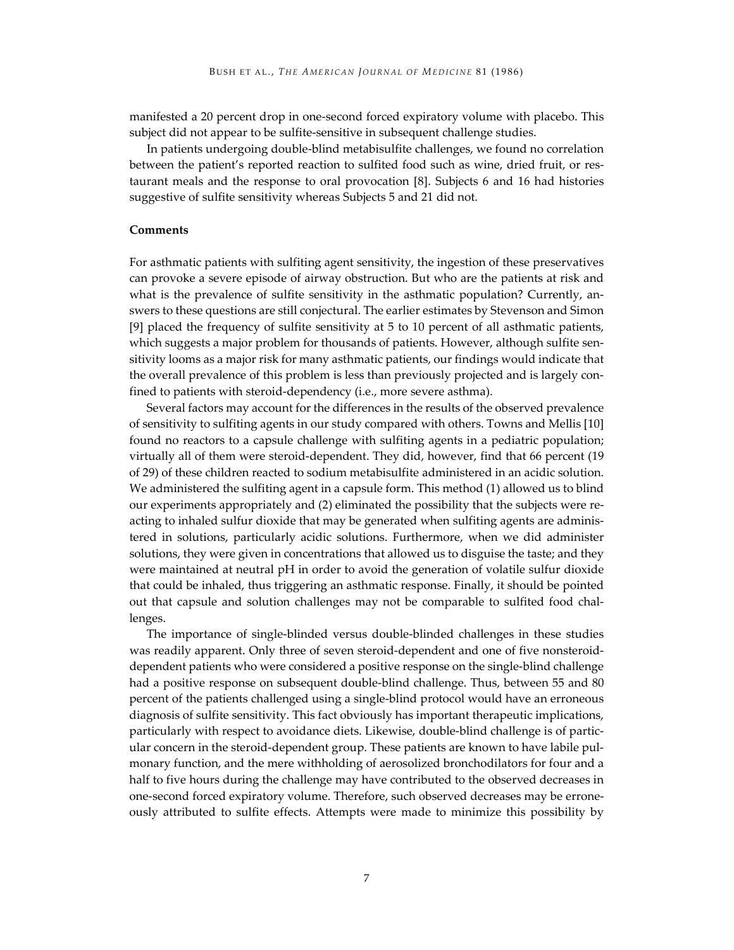manifested a 20 percent drop in one-second forced expiratory volume with placebo. This subject did not appear to be sulfite-sensitive in subsequent challenge studies.

In patients undergoing double-blind metabisulfite challenges, we found no correlation between the patient's reported reaction to sulfited food such as wine, dried fruit, or restaurant meals and the response to oral provocation [8]. Subjects 6 and 16 had histories suggestive of sulfite sensitivity whereas Subjects 5 and 21 did not.

#### **Comments**

For asthmatic patients with sulfiting agent sensitivity, the ingestion of these preservatives can provoke a severe episode of airway obstruction. But who are the patients at risk and what is the prevalence of sulfite sensitivity in the asthmatic population? Currently, answers to these questions are still conjectural. The earlier estimates by Stevenson and Simon [9] placed the frequency of sulfite sensitivity at 5 to 10 percent of all asthmatic patients, which suggests a major problem for thousands of patients. However, although sulfite sensitivity looms as a major risk for many asthmatic patients, our findings would indicate that the overall prevalence of this problem is less than previously projected and is largely confined to patients with steroid-dependency (i.e., more severe asthma).

Several factors may account for the differences in the results of the observed prevalence of sensitivity to sulfiting agents in our study compared with others. Towns and Mellis [10] found no reactors to a capsule challenge with sulfiting agents in a pediatric population; virtually all of them were steroid-dependent. They did, however, find that 66 percent (19 of 29) of these children reacted to sodium metabisulfite administered in an acidic solution. We administered the sulfiting agent in a capsule form. This method (1) allowed us to blind our experiments appropriately and (2) eliminated the possibility that the subjects were reacting to inhaled sulfur dioxide that may be generated when sulfiting agents are administered in solutions, particularly acidic solutions. Furthermore, when we did administer solutions, they were given in concentrations that allowed us to disguise the taste; and they were maintained at neutral pH in order to avoid the generation of volatile sulfur dioxide that could be inhaled, thus triggering an asthmatic response. Finally, it should be pointed out that capsule and solution challenges may not be comparable to sulfited food challenges.

The importance of single-blinded versus double-blinded challenges in these studies was readily apparent. Only three of seven steroid-dependent and one of five nonsteroiddependent patients who were considered a positive response on the single-blind challenge had a positive response on subsequent double-blind challenge. Thus, between 55 and 80 percent of the patients challenged using a single-blind protocol would have an erroneous diagnosis of sulfite sensitivity. This fact obviously has important therapeutic implications, particularly with respect to avoidance diets. Likewise, double-blind challenge is of particular concern in the steroid-dependent group. These patients are known to have labile pulmonary function, and the mere withholding of aerosolized bronchodilators for four and a half to five hours during the challenge may have contributed to the observed decreases in one-second forced expiratory volume. Therefore, such observed decreases may be erroneously attributed to sulfite effects. Attempts were made to minimize this possibility by